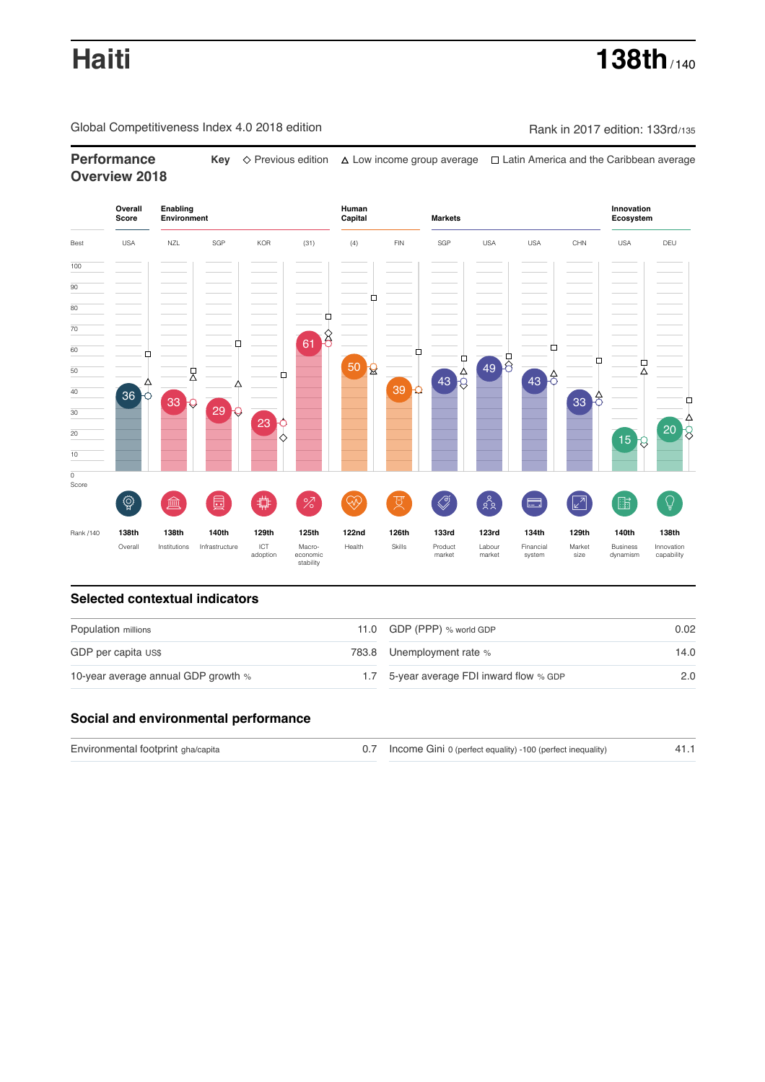Global Competitiveness Index 4.0 2018 edition Company Rank in 2017 edition: 133rd/135

**Performance Key**  $\Diamond$  Previous edition  $\Diamond$  Low income group average  $\Box$  Latin America and the Caribbean average **Overview 2018**



## **Selected contextual indicators**

| Population millions                 |     | 11.0 GDP (PPP) % world GDP           | 0.02 |  |
|-------------------------------------|-----|--------------------------------------|------|--|
| GDP per capita US\$                 |     | 783.8 Unemployment rate %            | 14.0 |  |
| 10-year average annual GDP growth % | 1.7 | 5-year average FDI inward flow % GDP | 2.0  |  |

## **Social and environmental performance**

| Environmental footprint gha/capita | 0.7 Income Gini 0 (perfect equality) -100 (perfect inequality) |  |
|------------------------------------|----------------------------------------------------------------|--|
|                                    |                                                                |  |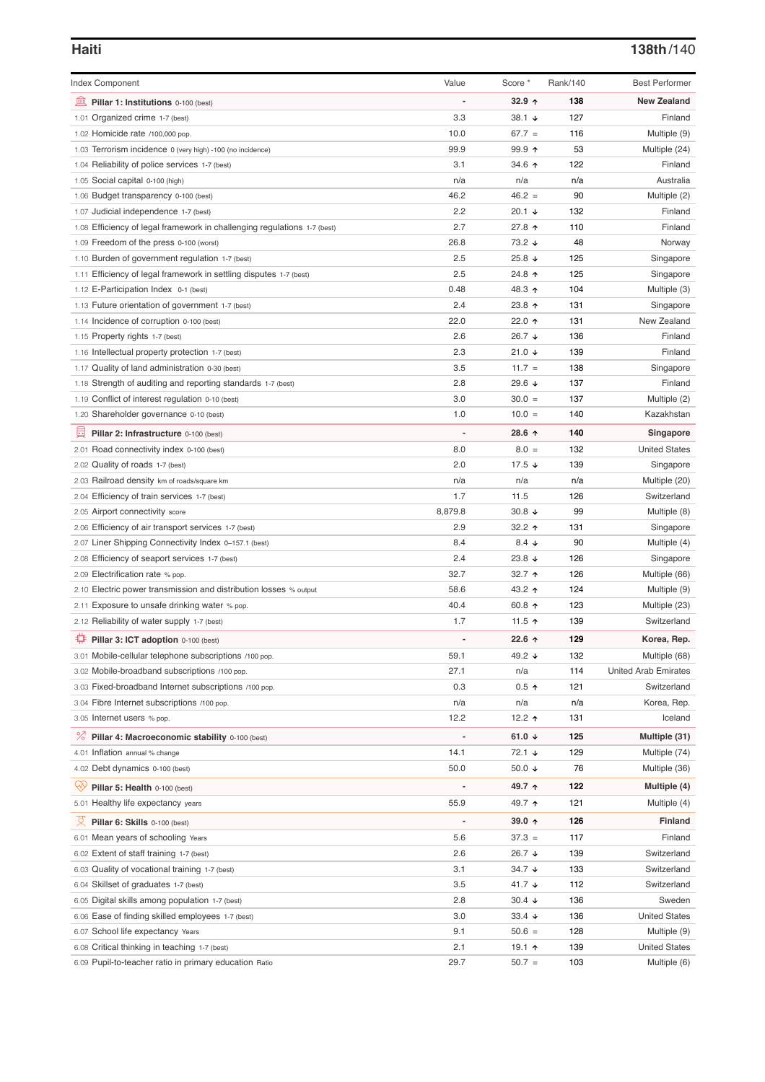# **Haiti 138th**/140

| <b>Index Component</b>                                                   | Value          | Score *              | Rank/140 | <b>Best Performer</b>       |
|--------------------------------------------------------------------------|----------------|----------------------|----------|-----------------------------|
| 皿<br>Pillar 1: Institutions 0-100 (best)                                 |                | $32.9$ 1             | 138      | <b>New Zealand</b>          |
| 1.01 Organized crime 1-7 (best)                                          | 3.3            | 38.1 $\sqrt{ }$      | 127      | Finland                     |
| 1.02 Homicide rate /100,000 pop.                                         | 10.0           | $67.7 =$             | 116      | Multiple (9)                |
| 1.03 Terrorism incidence 0 (very high) -100 (no incidence)               | 99.9           | $99.9$ 1             | 53       | Multiple (24)               |
| 1.04 Reliability of police services 1-7 (best)                           | 3.1            | 34.6 ↑               | 122      | Finland                     |
| 1.05 Social capital 0-100 (high)                                         | n/a            | n/a                  | n/a      | Australia                   |
| 1.06 Budget transparency 0-100 (best)                                    | 46.2           | $46.2 =$             | 90       | Multiple (2)                |
| 1.07 Judicial independence 1-7 (best)                                    | 2.2            | 20.1 $\sqrt{ }$      | 132      | Finland                     |
| 1.08 Efficiency of legal framework in challenging regulations 1-7 (best) | 2.7            | 27.8 ↑               | 110      | Finland                     |
| 1.09 Freedom of the press 0-100 (worst)                                  | 26.8           | 73.2 ↓               | 48       | Norway                      |
| 1.10 Burden of government regulation 1-7 (best)                          | 2.5            | 25.8 $\sqrt{ }$      | 125      | Singapore                   |
| 1.11 Efficiency of legal framework in settling disputes 1-7 (best)       | 2.5            | 24.8 ↑               | 125      | Singapore                   |
| 1.12 E-Participation Index 0-1 (best)                                    | 0.48           | 48.3 ↑               | 104      | Multiple (3)                |
| 1.13 Future orientation of government 1-7 (best)                         | 2.4            | 23.8 ↑               | 131      | Singapore                   |
| 1.14 Incidence of corruption 0-100 (best)                                | 22.0           | 22.0 ↑               | 131      | New Zealand                 |
| 1.15 Property rights 1-7 (best)                                          | 2.6            | 26.7 ↓               | 136      | Finland                     |
| 1.16 Intellectual property protection 1-7 (best)                         | 2.3            | 21.0 $\sqrt{ }$      | 139      | Finland                     |
| 1.17 Quality of land administration 0-30 (best)                          | 3.5            | $11.7 =$             | 138      | Singapore                   |
| 1.18 Strength of auditing and reporting standards 1-7 (best)             | 2.8            | 29.6 $\sqrt{ }$      | 137      | Finland                     |
| 1.19 Conflict of interest regulation 0-10 (best)                         | 3.0            | $30.0 =$             | 137      | Multiple (2)                |
| 1.20 Shareholder governance 0-10 (best)                                  | 1.0            | $10.0 =$             | 140      | Kazakhstan                  |
|                                                                          |                |                      |          |                             |
| 曼<br>Pillar 2: Infrastructure 0-100 (best)                               |                | 28.6 ↑               | 140      | Singapore                   |
| 2.01 Road connectivity index 0-100 (best)                                | 8.0            | $8.0 =$              | 132      | <b>United States</b>        |
| 2.02 Quality of roads 1-7 (best)                                         | 2.0            | 17.5 $\sqrt{ }$      | 139      | Singapore                   |
| 2.03 Railroad density km of roads/square km                              | n/a            | n/a                  | n/a      | Multiple (20)               |
| 2.04 Efficiency of train services 1-7 (best)                             | 1.7            | 11.5                 | 126      | Switzerland                 |
| 2.05 Airport connectivity score                                          | 8,879.8        | 30.8 $\sqrt{ }$      | 99       | Multiple (8)                |
| 2.06 Efficiency of air transport services 1-7 (best)                     | 2.9            | 32.2 $\uparrow$      | 131      | Singapore                   |
| 2.07 Liner Shipping Connectivity Index 0-157.1 (best)                    | 8.4            | 8.4 $\downarrow$     | 90       | Multiple (4)                |
| 2.08 Efficiency of seaport services 1-7 (best)                           | 2.4            | 23.8 $\sqrt{ }$      | 126      | Singapore                   |
| 2.09 Electrification rate % pop.                                         | 32.7           | 32.7 $\uparrow$      | 126      | Multiple (66)               |
| 2.10 Electric power transmission and distribution losses % output        | 58.6           | 43.2 ↑               | 124      | Multiple (9)                |
| 2.11 Exposure to unsafe drinking water % pop.                            | 40.4           | 60.8 $\uparrow$      | 123      | Multiple (23)               |
| 2.12 Reliability of water supply 1-7 (best)                              | 1.7            | 11.5 $\uparrow$      | 139      | Switzerland                 |
| ₽<br>Pillar 3: ICT adoption 0-100 (best)                                 | $\overline{a}$ | 22.6 $\uparrow$      | 129      | Korea, Rep.                 |
| 3.01 Mobile-cellular telephone subscriptions /100 pop.                   | 59.1           | 49.2 $\sqrt{ }$      | 132      | Multiple (68)               |
| 3.02 Mobile-broadband subscriptions /100 pop.                            | 27.1           | n/a                  | 114      | <b>United Arab Emirates</b> |
| 3.03 Fixed-broadband Internet subscriptions /100 pop.                    | 0.3            | $0.5$ ↑              | 121      | Switzerland                 |
| 3.04 Fibre Internet subscriptions /100 pop.                              | n/a            | n/a                  | n/a      | Korea, Rep.                 |
| 3.05 Internet users % pop.                                               | 12.2           | 12.2 $\uparrow$      | 131      | Iceland                     |
| <sup>%</sup> Pillar 4: Macroeconomic stability 0-100 (best)              | $\overline{a}$ | 61.0 $\sqrt{ }$      | 125      | Multiple (31)               |
| 4.01 Inflation annual % change                                           | 14.1           | $72.1 +$             | 129      | Multiple (74)               |
| 4.02 Debt dynamics 0-100 (best)                                          | 50.0           | 50.0 $\sqrt{ }$      | 76       | Multiple (36)               |
| Qiy                                                                      |                | 49.7 ↑               | 122      | Multiple (4)                |
| Pillar 5: Health 0-100 (best)                                            |                |                      |          |                             |
| 5.01 Healthy life expectancy years                                       | 55.9           | 49.7 ተ               | 121      | Multiple (4)                |
| Pillar 6: Skills 0-100 (best)                                            |                | 39.0 $\uparrow$      | 126      | <b>Finland</b>              |
| 6.01 Mean years of schooling Years                                       | 5.6            | $37.3 =$             | 117      | Finland                     |
| 6.02 Extent of staff training 1-7 (best)                                 | 2.6            | 26.7 ↓               | 139      | Switzerland                 |
| 6.03 Quality of vocational training 1-7 (best)                           | 3.1            | 34.7 $\sqrt{ }$      | 133      | Switzerland                 |
| 6.04 Skillset of graduates 1-7 (best)                                    | 3.5            | 41.7 $\sqrt{ }$      | 112      | Switzerland                 |
| 6.05 Digital skills among population 1-7 (best)                          | 2.8            | $30.4 \; \downarrow$ | 136      | Sweden                      |
| 6.06 Ease of finding skilled employees 1-7 (best)                        | 3.0            | 33.4 $\sqrt{ }$      | 136      | <b>United States</b>        |
| 6.07 School life expectancy Years                                        | 9.1            | $50.6 =$             | 128      | Multiple (9)                |
| 6.08 Critical thinking in teaching 1-7 (best)                            | 2.1            | 19.1 $\uparrow$      | 139      | <b>United States</b>        |
| 6.09 Pupil-to-teacher ratio in primary education Ratio                   | 29.7           | $50.7 =$             | 103      | Multiple (6)                |